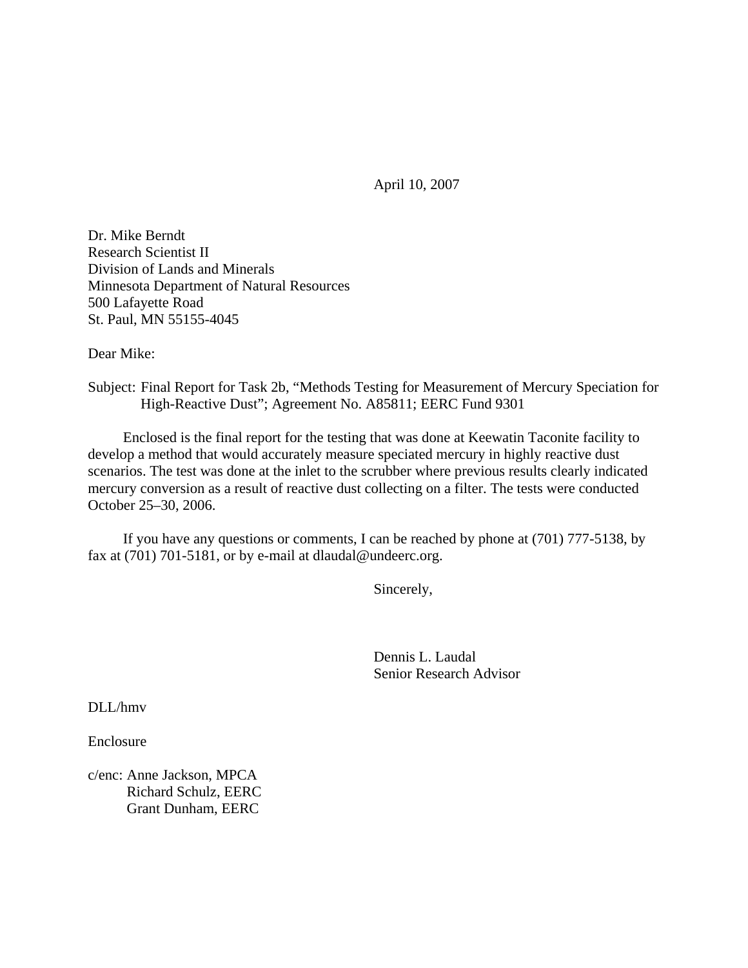April 10, 2007

Dr. Mike Berndt Research Scientist II Division of Lands and Minerals Minnesota Department of Natural Resources 500 Lafayette Road St. Paul, MN 55155-4045

Dear Mike:

Subject: Final Report for Task 2b, "Methods Testing for Measurement of Mercury Speciation for High-Reactive Dust"; Agreement No. A85811; EERC Fund 9301

 Enclosed is the final report for the testing that was done at Keewatin Taconite facility to develop a method that would accurately measure speciated mercury in highly reactive dust scenarios. The test was done at the inlet to the scrubber where previous results clearly indicated mercury conversion as a result of reactive dust collecting on a filter. The tests were conducted October 25–30, 2006.

 If you have any questions or comments, I can be reached by phone at (701) 777-5138, by fax at (701) 701-5181, or by e-mail at dlaudal@undeerc.org.

Sincerely,

 Dennis L. Laudal Senior Research Advisor

DLL/hmv

Enclosure

c/enc: Anne Jackson, MPCA Richard Schulz, EERC Grant Dunham, EERC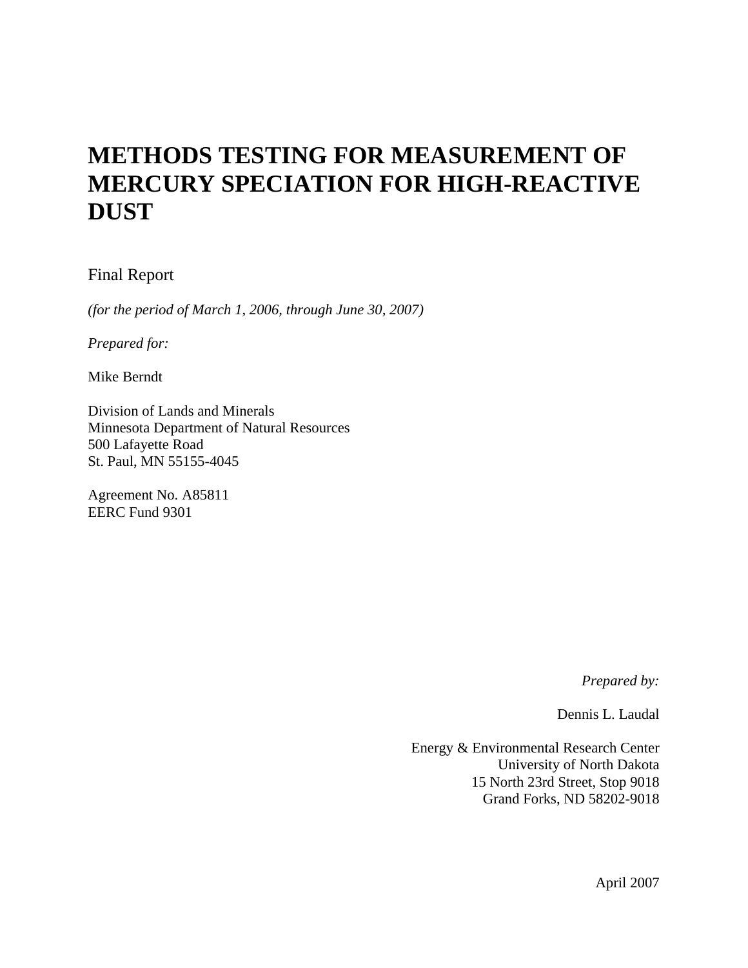# **METHODS TESTING FOR MEASUREMENT OF MERCURY SPECIATION FOR HIGH-REACTIVE DUST**

# Final Report

*(for the period of March 1, 2006, through June 30, 2007)* 

*Prepared for:* 

Mike Berndt

Division of Lands and Minerals Minnesota Department of Natural Resources 500 Lafayette Road St. Paul, MN 55155-4045

Agreement No. A85811 EERC Fund 9301

*Prepared by:* 

Dennis L. Laudal

Energy & Environmental Research Center University of North Dakota 15 North 23rd Street, Stop 9018 Grand Forks, ND 58202-9018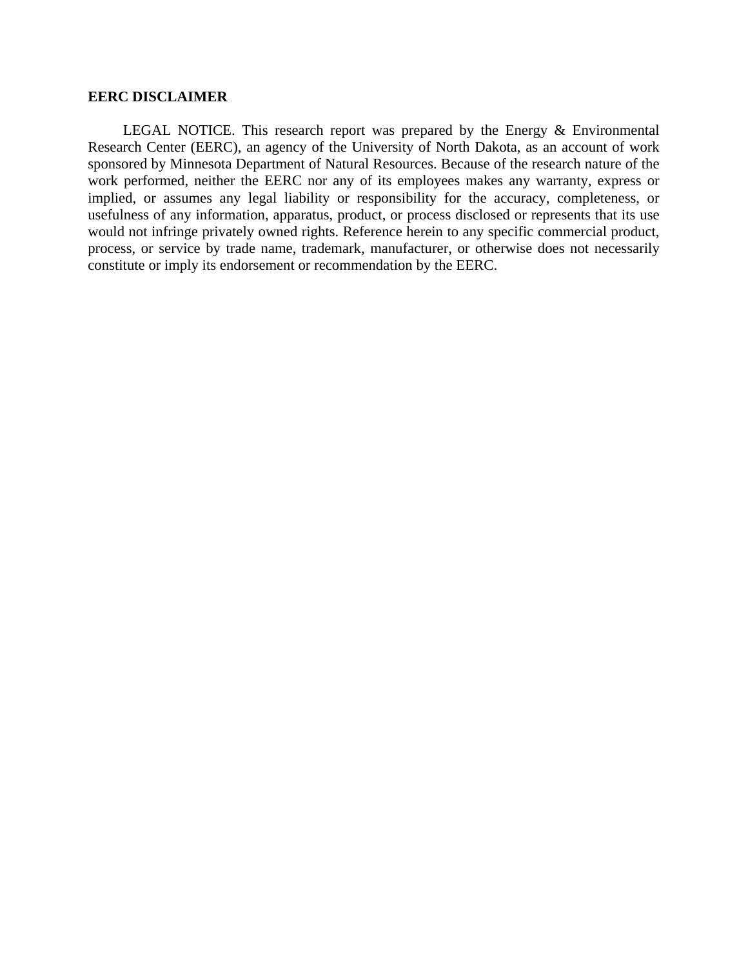#### **EERC DISCLAIMER**

 LEGAL NOTICE. This research report was prepared by the Energy & Environmental Research Center (EERC), an agency of the University of North Dakota, as an account of work sponsored by Minnesota Department of Natural Resources. Because of the research nature of the work performed, neither the EERC nor any of its employees makes any warranty, express or implied, or assumes any legal liability or responsibility for the accuracy, completeness, or usefulness of any information, apparatus, product, or process disclosed or represents that its use would not infringe privately owned rights. Reference herein to any specific commercial product, process, or service by trade name, trademark, manufacturer, or otherwise does not necessarily constitute or imply its endorsement or recommendation by the EERC.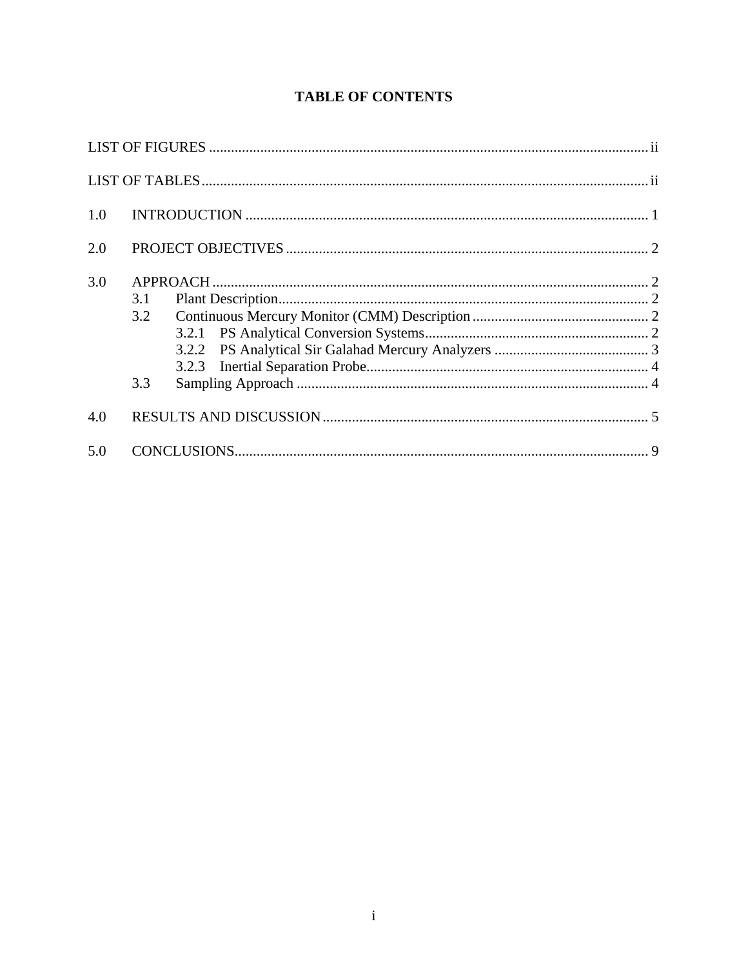# **TABLE OF CONTENTS**

| 1.0 |                   |  |
|-----|-------------------|--|
| 2.0 |                   |  |
| 3.0 | 3.1<br>3.2<br>3.3 |  |
| 4.0 |                   |  |
| 5.0 |                   |  |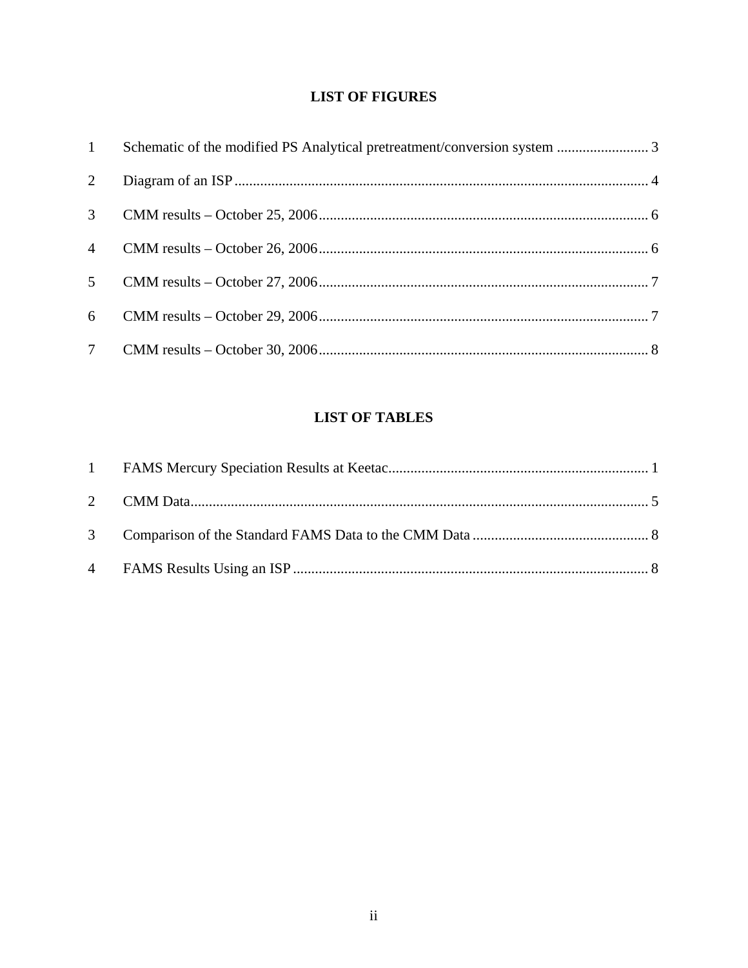# **LIST OF FIGURES**

| $\mathbf{1}$   | Schematic of the modified PS Analytical pretreatment/conversion system  3 |  |
|----------------|---------------------------------------------------------------------------|--|
| 2              |                                                                           |  |
| $\mathfrak{Z}$ |                                                                           |  |
| $\overline{4}$ |                                                                           |  |
| 5 <sup>5</sup> |                                                                           |  |
| 6              |                                                                           |  |
|                |                                                                           |  |

# **LIST OF TABLES**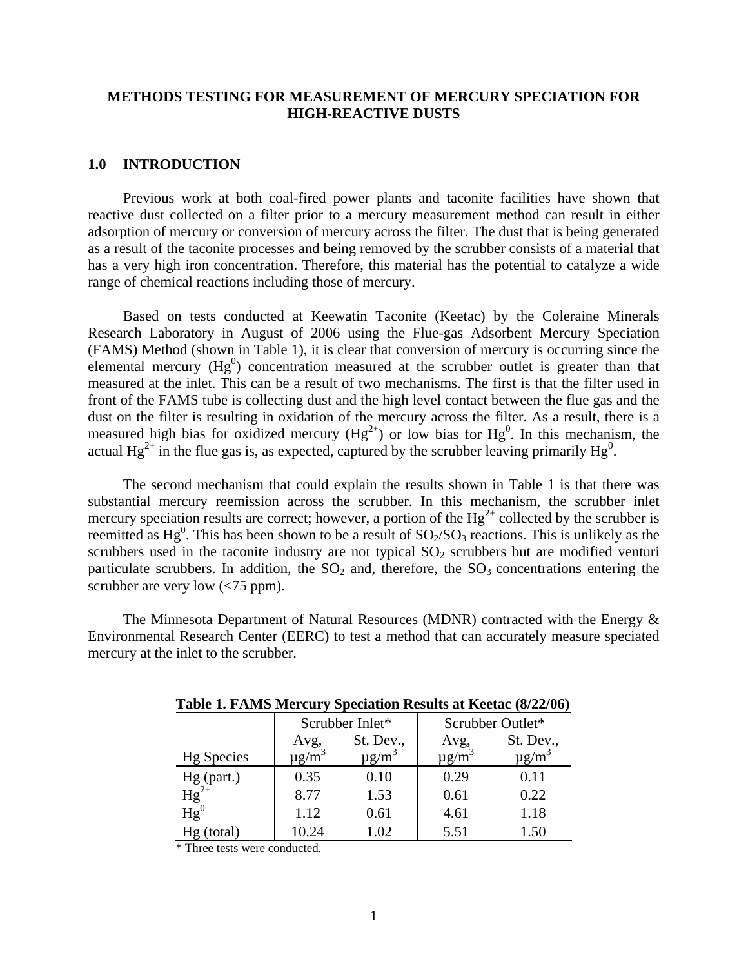## **METHODS TESTING FOR MEASUREMENT OF MERCURY SPECIATION FOR HIGH-REACTIVE DUSTS**

#### **1.0 INTRODUCTION**

Previous work at both coal-fired power plants and taconite facilities have shown that reactive dust collected on a filter prior to a mercury measurement method can result in either adsorption of mercury or conversion of mercury across the filter. The dust that is being generated as a result of the taconite processes and being removed by the scrubber consists of a material that has a very high iron concentration. Therefore, this material has the potential to catalyze a wide range of chemical reactions including those of mercury.

Based on tests conducted at Keewatin Taconite (Keetac) by the Coleraine Minerals Research Laboratory in August of 2006 using the Flue-gas Adsorbent Mercury Speciation (FAMS) Method (shown in Table 1), it is clear that conversion of mercury is occurring since the elemental mercury  $(Hg^0)$  concentration measured at the scrubber outlet is greater than that measured at the inlet. This can be a result of two mechanisms. The first is that the filter used in front of the FAMS tube is collecting dust and the high level contact between the flue gas and the dust on the filter is resulting in oxidation of the mercury across the filter. As a result, there is a measured high bias for oxidized mercury ( $Hg^{2+}$ ) or low bias for  $Hg^0$ . In this mechanism, the actual  $Hg^{2+}$  in the flue gas is, as expected, captured by the scrubber leaving primarily  $Hg^0$ .

The second mechanism that could explain the results shown in Table 1 is that there was substantial mercury reemission across the scrubber. In this mechanism, the scrubber inlet mercury speciation results are correct; however, a portion of the  $Hg^{2+}$  collected by the scrubber is reemitted as Hg<sup>0</sup>. This has been shown to be a result of  $SO_2/SO_3$  reactions. This is unlikely as the scrubbers used in the taconite industry are not typical  $SO_2$  scrubbers but are modified venturi particulate scrubbers. In addition, the  $SO<sub>2</sub>$  and, therefore, the  $SO<sub>3</sub>$  concentrations entering the scrubber are very low (<75 ppm).

The Minnesota Department of Natural Resources (MDNR) contracted with the Energy  $\&$ Environmental Research Center (EERC) to test a method that can accurately measure speciated mercury at the inlet to the scrubber.

| Table 1. PARID MCTCuty operation results at ixectae (0/22/00) |                        |                        |                        |                        |  |  |  |  |
|---------------------------------------------------------------|------------------------|------------------------|------------------------|------------------------|--|--|--|--|
|                                                               |                        | Scrubber Inlet*        | Scrubber Outlet*       |                        |  |  |  |  |
|                                                               | Avg,                   | St. Dev.,              | Avg,                   | St. Dev.,              |  |  |  |  |
| <b>Hg</b> Species                                             | $\mu$ g/m <sup>3</sup> | $\mu$ g/m <sup>3</sup> | $\mu$ g/m <sup>3</sup> | $\mu$ g/m <sup>3</sup> |  |  |  |  |
| $Hg$ (part.)                                                  | 0.35                   | 0.10                   | 0.29                   | 0.11                   |  |  |  |  |
| $Hg^{2+}$                                                     | 8.77                   | 1.53                   | 0.61                   | 0.22                   |  |  |  |  |
| $Hg^0$                                                        | 1.12                   | 0.61                   | 4.61                   | 1.18                   |  |  |  |  |
| Hg(total)                                                     | 10.24                  | 1.02                   | 5.51                   | 1.50                   |  |  |  |  |

**Table 1. FAMS Mercury Speciation Results at Keetac (8/22/06)** 

\* Three tests were conducted.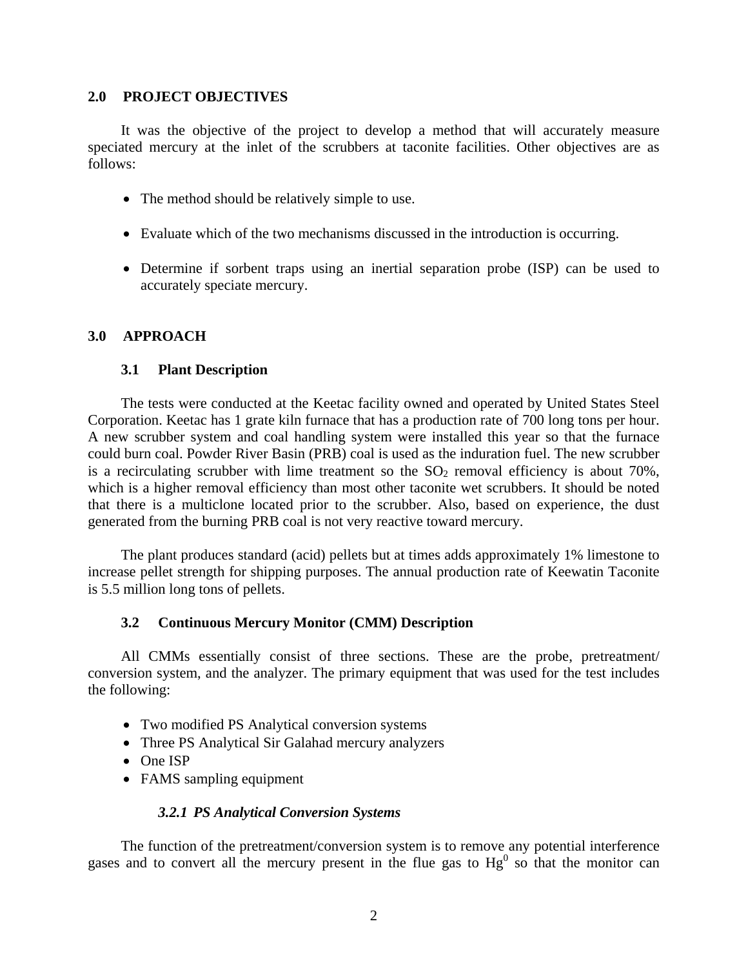## **2.0 PROJECT OBJECTIVES**

 It was the objective of the project to develop a method that will accurately measure speciated mercury at the inlet of the scrubbers at taconite facilities. Other objectives are as follows:

- The method should be relatively simple to use.
- Evaluate which of the two mechanisms discussed in the introduction is occurring.
- Determine if sorbent traps using an inertial separation probe (ISP) can be used to accurately speciate mercury.

# **3.0 APPROACH**

### **3.1 Plant Description**

 The tests were conducted at the Keetac facility owned and operated by United States Steel Corporation. Keetac has 1 grate kiln furnace that has a production rate of 700 long tons per hour. A new scrubber system and coal handling system were installed this year so that the furnace could burn coal. Powder River Basin (PRB) coal is used as the induration fuel. The new scrubber is a recirculating scrubber with lime treatment so the  $SO<sub>2</sub>$  removal efficiency is about 70%, which is a higher removal efficiency than most other taconite wet scrubbers. It should be noted that there is a multiclone located prior to the scrubber. Also, based on experience, the dust generated from the burning PRB coal is not very reactive toward mercury.

 The plant produces standard (acid) pellets but at times adds approximately 1% limestone to increase pellet strength for shipping purposes. The annual production rate of Keewatin Taconite is 5.5 million long tons of pellets.

## **3.2 Continuous Mercury Monitor (CMM) Description**

 All CMMs essentially consist of three sections. These are the probe, pretreatment/ conversion system, and the analyzer. The primary equipment that was used for the test includes the following:

- Two modified PS Analytical conversion systems
- Three PS Analytical Sir Galahad mercury analyzers
- One ISP
- FAMS sampling equipment

#### *3.2.1 PS Analytical Conversion Systems*

 The function of the pretreatment/conversion system is to remove any potential interference gases and to convert all the mercury present in the flue gas to  $Hg^0$  so that the monitor can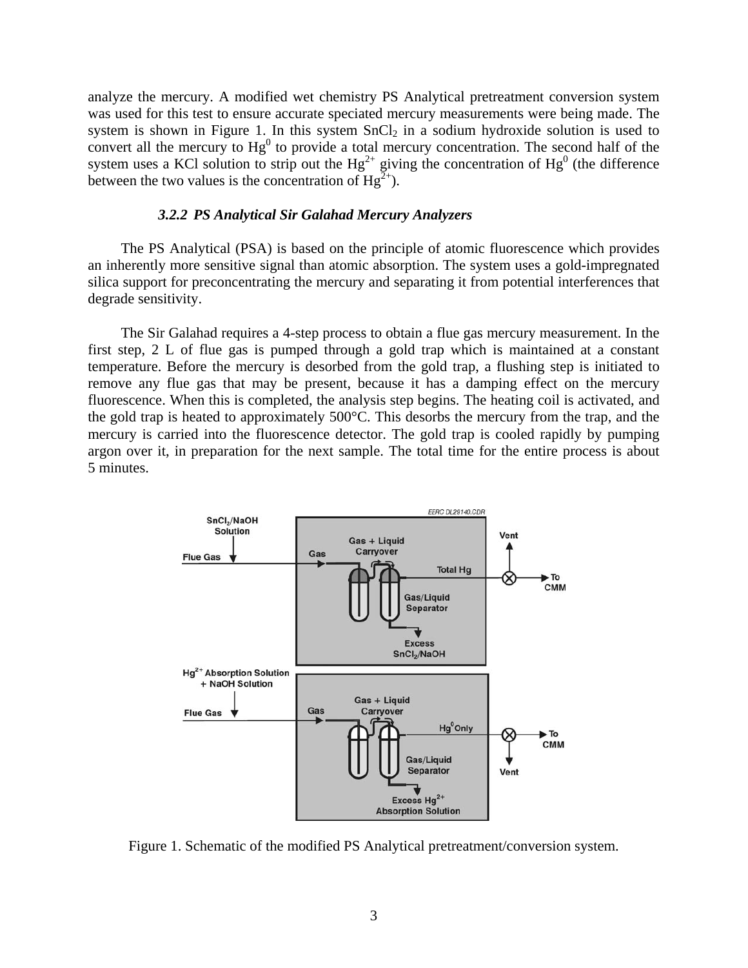analyze the mercury. A modified wet chemistry PS Analytical pretreatment conversion system was used for this test to ensure accurate speciated mercury measurements were being made. The system is shown in Figure 1. In this system  $SnCl<sub>2</sub>$  in a sodium hydroxide solution is used to convert all the mercury to  $Hg^0$  to provide a total mercury concentration. The second half of the system uses a KCl solution to strip out the  $Hg^{2+}$  giving the concentration of  $Hg^{0}$  (the difference between the two values is the concentration of  $Hg^{2+}$ ).

#### *3.2.2 PS Analytical Sir Galahad Mercury Analyzers*

 The PS Analytical (PSA) is based on the principle of atomic fluorescence which provides an inherently more sensitive signal than atomic absorption. The system uses a gold-impregnated silica support for preconcentrating the mercury and separating it from potential interferences that degrade sensitivity.

 The Sir Galahad requires a 4-step process to obtain a flue gas mercury measurement. In the first step, 2 L of flue gas is pumped through a gold trap which is maintained at a constant temperature. Before the mercury is desorbed from the gold trap, a flushing step is initiated to remove any flue gas that may be present, because it has a damping effect on the mercury fluorescence. When this is completed, the analysis step begins. The heating coil is activated, and the gold trap is heated to approximately 500°C. This desorbs the mercury from the trap, and the mercury is carried into the fluorescence detector. The gold trap is cooled rapidly by pumping argon over it, in preparation for the next sample. The total time for the entire process is about 5 minutes.



Figure 1. Schematic of the modified PS Analytical pretreatment/conversion system.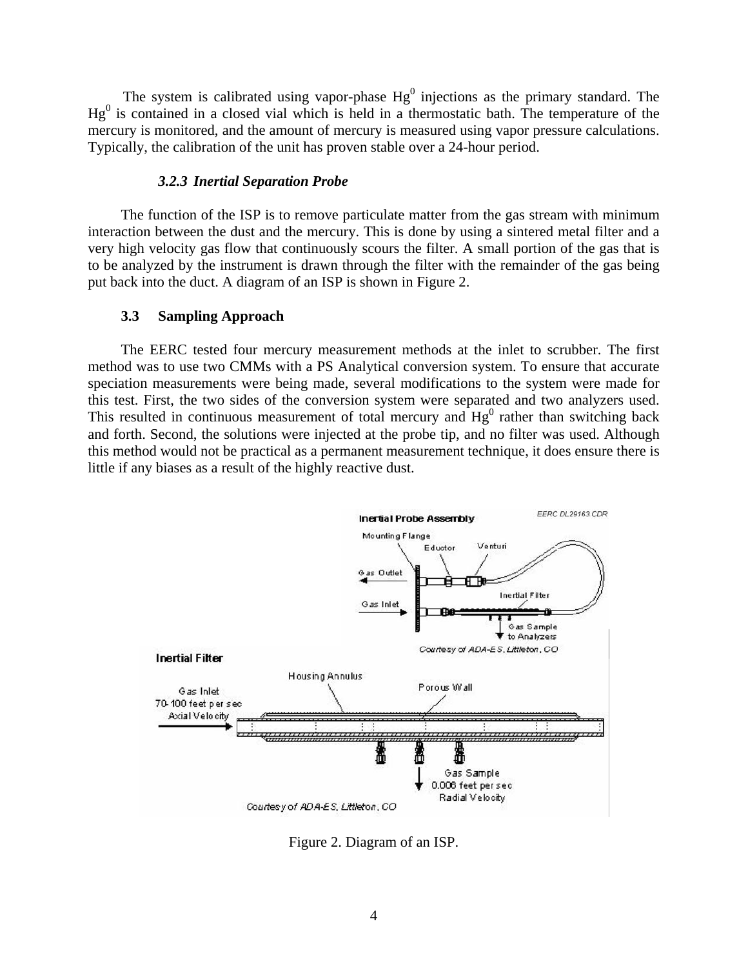The system is calibrated using vapor-phase  $Hg^0$  injections as the primary standard. The  $Hg<sup>0</sup>$  is contained in a closed vial which is held in a thermostatic bath. The temperature of the mercury is monitored, and the amount of mercury is measured using vapor pressure calculations. Typically, the calibration of the unit has proven stable over a 24-hour period.

#### *3.2.3 Inertial Separation Probe*

 The function of the ISP is to remove particulate matter from the gas stream with minimum interaction between the dust and the mercury. This is done by using a sintered metal filter and a very high velocity gas flow that continuously scours the filter. A small portion of the gas that is to be analyzed by the instrument is drawn through the filter with the remainder of the gas being put back into the duct. A diagram of an ISP is shown in Figure 2.

#### **3.3 Sampling Approach**

 The EERC tested four mercury measurement methods at the inlet to scrubber. The first method was to use two CMMs with a PS Analytical conversion system. To ensure that accurate speciation measurements were being made, several modifications to the system were made for this test. First, the two sides of the conversion system were separated and two analyzers used. This resulted in continuous measurement of total mercury and  $Hg<sup>0</sup>$  rather than switching back and forth. Second, the solutions were injected at the probe tip, and no filter was used. Although this method would not be practical as a permanent measurement technique, it does ensure there is little if any biases as a result of the highly reactive dust.



Figure 2. Diagram of an ISP.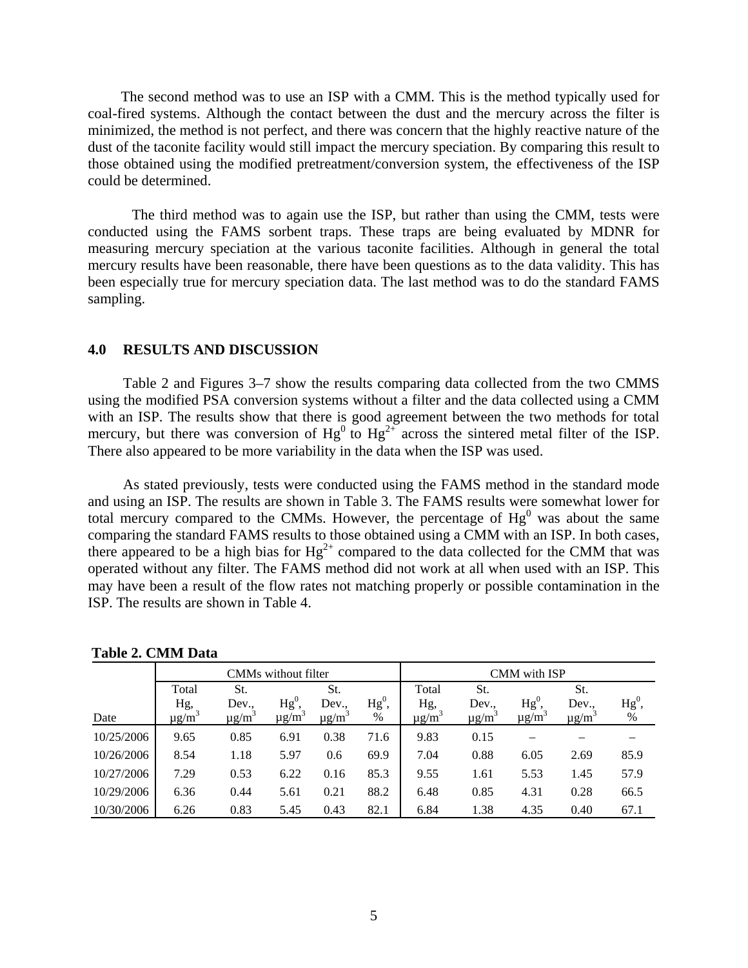The second method was to use an ISP with a CMM. This is the method typically used for coal-fired systems. Although the contact between the dust and the mercury across the filter is minimized, the method is not perfect, and there was concern that the highly reactive nature of the dust of the taconite facility would still impact the mercury speciation. By comparing this result to those obtained using the modified pretreatment/conversion system, the effectiveness of the ISP could be determined.

The third method was to again use the ISP, but rather than using the CMM, tests were conducted using the FAMS sorbent traps. These traps are being evaluated by MDNR for measuring mercury speciation at the various taconite facilities. Although in general the total mercury results have been reasonable, there have been questions as to the data validity. This has been especially true for mercury speciation data. The last method was to do the standard FAMS sampling.

### **4.0 RESULTS AND DISCUSSION**

Table 2 and Figures 3–7 show the results comparing data collected from the two CMMS using the modified PSA conversion systems without a filter and the data collected using a CMM with an ISP. The results show that there is good agreement between the two methods for total mercury, but there was conversion of  $Hg^{0}$  to  $Hg^{2+}$  across the sintered metal filter of the ISP. There also appeared to be more variability in the data when the ISP was used.

As stated previously, tests were conducted using the FAMS method in the standard mode and using an ISP. The results are shown in Table 3. The FAMS results were somewhat lower for total mercury compared to the CMMs. However, the percentage of  $Hg<sup>0</sup>$  was about the same comparing the standard FAMS results to those obtained using a CMM with an ISP. In both cases, there appeared to be a high bias for  $Hg^{2+}$  compared to the data collected for the CMM that was operated without any filter. The FAMS method did not work at all when used with an ISP. This may have been a result of the flow rates not matching properly or possible contamination in the ISP. The results are shown in Table 4.

|            | CMMs without filter           |                                 |                                  |                                 | CMM with ISP     |                               |                                 |                                  |                                 |                |
|------------|-------------------------------|---------------------------------|----------------------------------|---------------------------------|------------------|-------------------------------|---------------------------------|----------------------------------|---------------------------------|----------------|
|            | Total                         | St.                             |                                  | St.                             |                  | Total                         | St.                             |                                  | St.                             |                |
| Date       | Hg,<br>$\mu$ g/m <sup>3</sup> | Dev.,<br>$\mu$ g/m <sup>3</sup> | $Hg^0$<br>$\mu$ g/m <sup>2</sup> | Dev.,<br>$\mu$ g/m <sup>3</sup> | $Hg^0$ ,<br>$\%$ | Hg,<br>$\mu$ g/m <sup>3</sup> | Dev.,<br>$\mu$ g/m <sup>3</sup> | $Hg^0$<br>$\mu$ g/m <sup>3</sup> | Dev.,<br>$\mu$ g/m <sup>3</sup> | $Hg^0$<br>$\%$ |
| 10/25/2006 | 9.65                          | 0.85                            | 6.91                             | 0.38                            | 71.6             | 9.83                          | 0.15                            |                                  |                                 |                |
| 10/26/2006 | 8.54                          | 1.18                            | 5.97                             | 0.6                             | 69.9             | 7.04                          | 0.88                            | 6.05                             | 2.69                            | 85.9           |
| 10/27/2006 | 7.29                          | 0.53                            | 6.22                             | 0.16                            | 85.3             | 9.55                          | 1.61                            | 5.53                             | 1.45                            | 57.9           |
| 10/29/2006 | 6.36                          | 0.44                            | 5.61                             | 0.21                            | 88.2             | 6.48                          | 0.85                            | 4.31                             | 0.28                            | 66.5           |
| 10/30/2006 | 6.26                          | 0.83                            | 5.45                             | 0.43                            | 82.1             | 6.84                          | 1.38                            | 4.35                             | 0.40                            | 67.1           |

 **Table 2. CMM Data**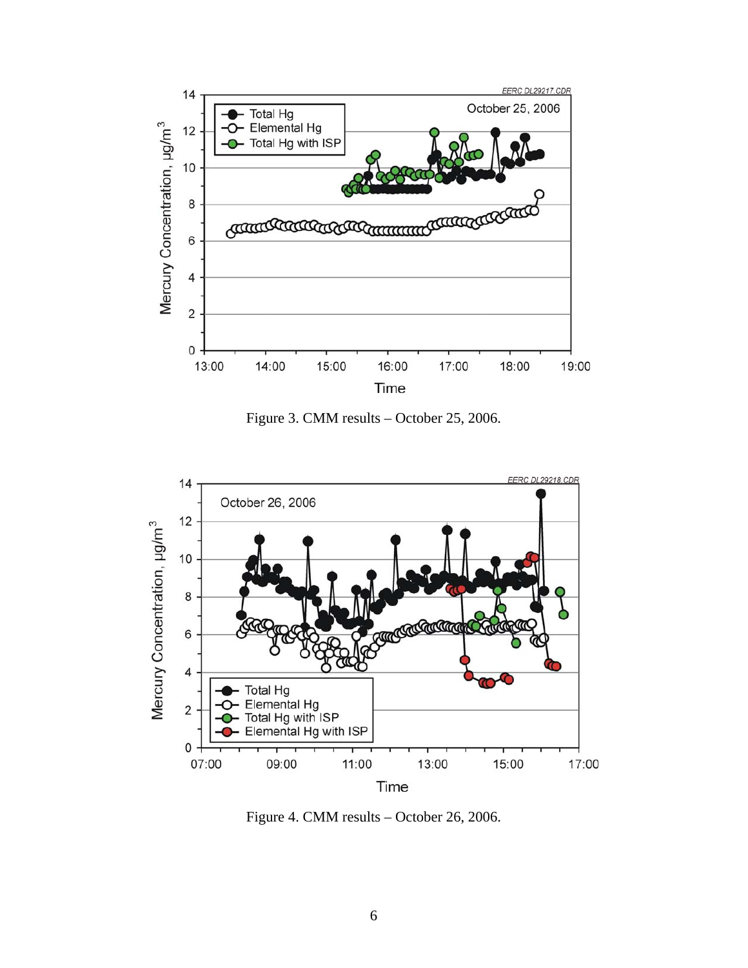

Figure 3. CMM results – October 25, 2006.



Figure 4. CMM results – October 26, 2006.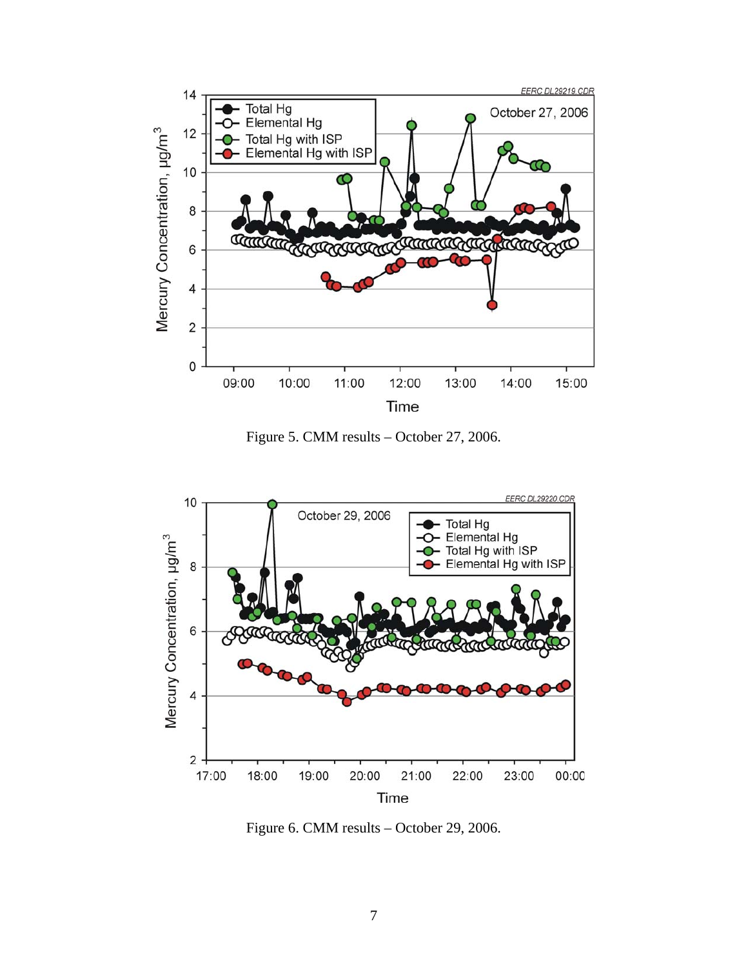

Figure 5. CMM results – October 27, 2006.



Figure 6. CMM results – October 29, 2006.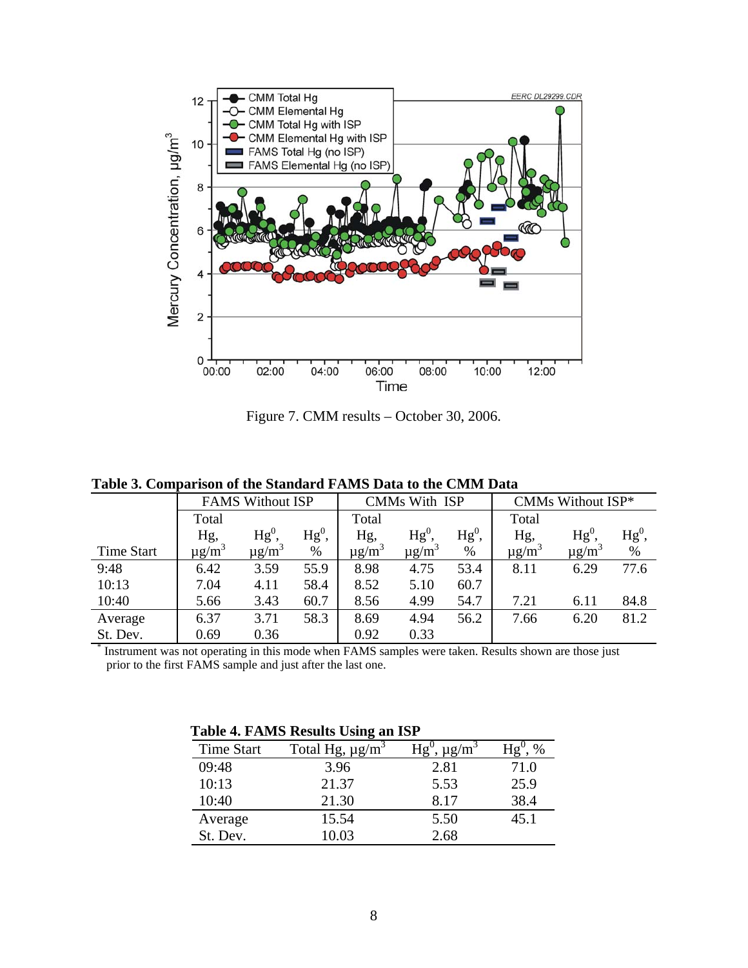

Figure 7. CMM results – October 30, 2006.

| тимге ет сонноштюмп ог                                                                                                                     |                         |                        |          |                        |                        |                   |                        |                        |          |
|--------------------------------------------------------------------------------------------------------------------------------------------|-------------------------|------------------------|----------|------------------------|------------------------|-------------------|------------------------|------------------------|----------|
|                                                                                                                                            | <b>FAMS Without ISP</b> |                        |          | CMMs With ISP          |                        |                   | CMMs Without ISP*      |                        |          |
|                                                                                                                                            | Total                   |                        |          | Total                  |                        |                   | Total                  |                        |          |
|                                                                                                                                            | Hg,                     | $Hg^0$                 | $Hg^0$ , | Hg,                    | Hg <sup>0</sup>        | ${ {\rm Hg}^0 },$ | Hg,                    | $Hg^0$                 | $Hg^0$ , |
| <b>Time Start</b>                                                                                                                          | $\mu$ g/m <sup>3</sup>  | $\mu$ g/m <sup>3</sup> | %        | $\mu$ g/m <sup>3</sup> | $\mu$ g/m <sup>3</sup> | $\%$              | $\mu$ g/m <sup>3</sup> | $\mu$ g/m <sup>3</sup> | %        |
| 9:48                                                                                                                                       | 6.42                    | 3.59                   | 55.9     | 8.98                   | 4.75                   | 53.4              | 8.11                   | 6.29                   | 77.6     |
| 10:13                                                                                                                                      | 7.04                    | 4.11                   | 58.4     | 8.52                   | 5.10                   | 60.7              |                        |                        |          |
| 10:40                                                                                                                                      | 5.66                    | 3.43                   | 60.7     | 8.56                   | 4.99                   | 54.7              | 7.21                   | 6.11                   | 84.8     |
| Average                                                                                                                                    | 6.37                    | 3.71                   | 58.3     | 8.69                   | 4.94                   | 56.2              | 7.66                   | 6.20                   | 81.2     |
| St. Dev.                                                                                                                                   | 0.69                    | 0.36                   |          | 0.92                   | 0.33                   |                   |                        |                        |          |
| $\overline{\phantom{a}^*}$ Instrument wes not energing in this mode when $\overline{EAM}$ semples were taken. Besults shown are those just |                         |                        |          |                        |                        |                   |                        |                        |          |

 **Table 3. Comparison of the Standard FAMS Data to the CMM Data** 

 Instrument was not operating in this mode when FAMS samples were taken. Results shown are those just prior to the first FAMS sample and just after the last one.

| Table 4. FAMS Results Using an ISP |  |  |  |  |
|------------------------------------|--|--|--|--|
|------------------------------------|--|--|--|--|

| <b>Time Start</b> | Total Hg, $\mu$ g/m <sup>3</sup> | $\mu$ g/m <sup>3</sup> |      |  |  |  |  |  |
|-------------------|----------------------------------|------------------------|------|--|--|--|--|--|
| 09:48             | 3.96                             | 2.81                   | 71.0 |  |  |  |  |  |
| 10:13             | 21.37                            | 5.53                   | 25.9 |  |  |  |  |  |
| 10:40             | 21.30                            | 8.17                   | 38.4 |  |  |  |  |  |
| Average           | 15.54                            | 5.50                   | 45.1 |  |  |  |  |  |
| St. Dev.          | 10.03                            | 2.68                   |      |  |  |  |  |  |